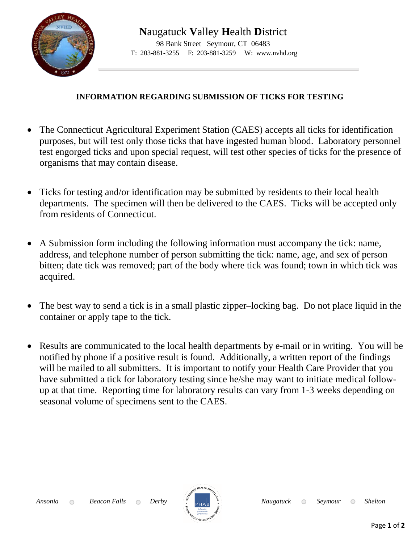

## **INFORMATION REGARDING SUBMISSION OF TICKS FOR TESTING**

- The Connecticut Agricultural Experiment Station (CAES) accepts all ticks for identification purposes, but will test only those ticks that have ingested human blood. Laboratory personnel test engorged ticks and upon special request, will test other species of ticks for the presence of organisms that may contain disease.
- Ticks for testing and/or identification may be submitted by residents to their local health departments. The specimen will then be delivered to the CAES. Ticks will be accepted only from residents of Connecticut.
- A Submission form including the following information must accompany the tick: name, address, and telephone number of person submitting the tick: name, age, and sex of person bitten; date tick was removed; part of the body where tick was found; town in which tick was acquired.
- The best way to send a tick is in a small plastic zipper–locking bag. Do not place liquid in the container or apply tape to the tick.
- Results are communicated to the local health departments by e-mail or in writing. You will be notified by phone if a positive result is found. Additionally, a written report of the findings will be mailed to all submitters. It is important to notify your Health Care Provider that you have submitted a tick for laboratory testing since he/she may want to initiate medical followup at that time. Reporting time for laboratory results can vary from 1-3 weeks depending on seasonal volume of specimens sent to the CAES.